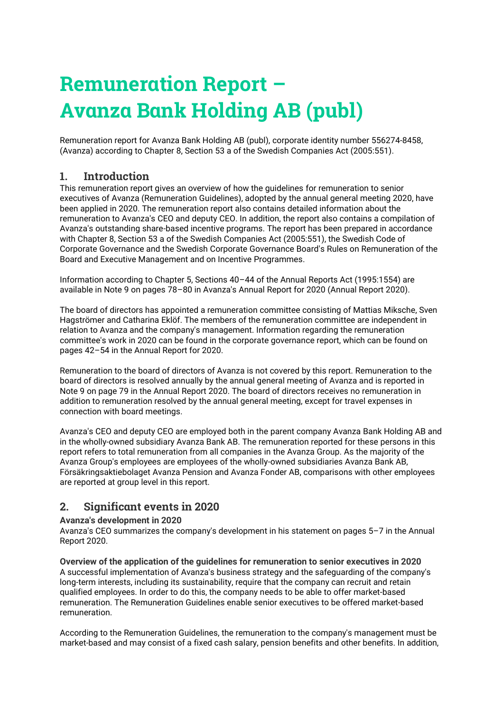# **Remuneration Report – Avanza Bank Holding AB (publ)**

Remuneration report for Avanza Bank Holding AB (publ), corporate identity number 556274-8458, (Avanza) according to Chapter 8, Section 53 a of the Swedish Companies Act (2005:551).

## **1. Introduction**

This remuneration report gives an overview of how the guidelines for remuneration to senior executives of Avanza (Remuneration Guidelines), adopted by the annual general meeting 2020, have been applied in 2020. The remuneration report also contains detailed information about the remuneration to Avanza's CEO and deputy CEO. In addition, the report also contains a compilation of Avanza's outstanding share-based incentive programs. The report has been prepared in accordance with Chapter 8, Section 53 a of the Swedish Companies Act (2005:551), the Swedish Code of Corporate Governance and the Swedish Corporate Governance Board's Rules on Remuneration of the Board and Executive Management and on Incentive Programmes.

Information according to Chapter 5, Sections 40–44 of the Annual Reports Act (1995:1554) are available in Note 9 on pages 78–80 in Avanza's Annual Report for 2020 (Annual Report 2020).

The board of directors has appointed a remuneration committee consisting of Mattias Miksche, Sven Hagströmer and Catharina Eklöf. The members of the remuneration committee are independent in relation to Avanza and the company's management. Information regarding the remuneration committee's work in 2020 can be found in the corporate governance report, which can be found on pages 42–54 in the Annual Report for 2020.

Remuneration to the board of directors of Avanza is not covered by this report. Remuneration to the board of directors is resolved annually by the annual general meeting of Avanza and is reported in Note 9 on page 79 in the Annual Report 2020. The board of directors receives no remuneration in addition to remuneration resolved by the annual general meeting, except for travel expenses in connection with board meetings.

Avanza's CEO and deputy CEO are employed both in the parent company Avanza Bank Holding AB and in the wholly-owned subsidiary Avanza Bank AB. The remuneration reported for these persons in this report refers to total remuneration from all companies in the Avanza Group. As the majority of the Avanza Group's employees are employees of the wholly-owned subsidiaries Avanza Bank AB, Försäkringsaktiebolaget Avanza Pension and Avanza Fonder AB, comparisons with other employees are reported at group level in this report.

#### **2. Significant events in 2020**

#### **Avanza's development in 2020**

Avanza's CEO summarizes the company's development in his statement on pages 5–7 in the Annual Report 2020.

**Overview of the application of the guidelines for remuneration to senior executives in 2020** A successful implementation of Avanza's business strategy and the safeguarding of the company's long-term interests, including its sustainability, require that the company can recruit and retain qualified employees. In order to do this, the company needs to be able to offer market-based remuneration. The Remuneration Guidelines enable senior executives to be offered market-based remuneration.

According to the Remuneration Guidelines, the remuneration to the company's management must be market-based and may consist of a fixed cash salary, pension benefits and other benefits. In addition,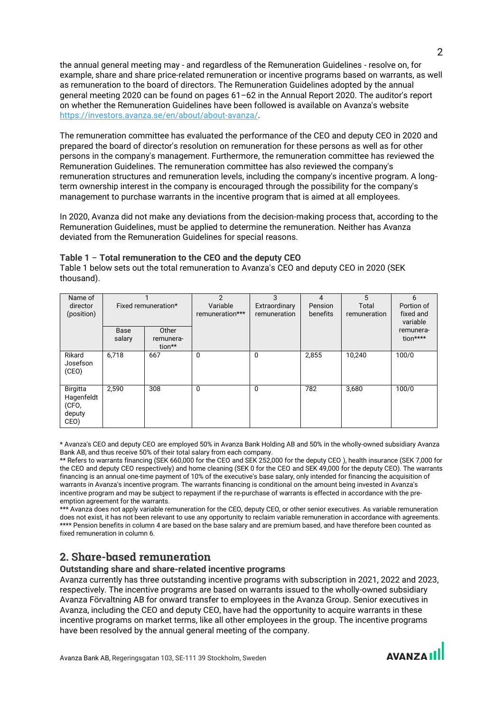the annual general meeting may - and regardless of the Remuneration Guidelines - resolve on, for example, share and share price-related remuneration or incentive programs based on warrants, as well as remuneration to the board of directors. The Remuneration Guidelines adopted by the annual general meeting 2020 can be found on pages 61–62 in the Annual Report 2020. The auditor's report on whether the Remuneration Guidelines have been followed is available on Avanza's website [https://investors.avanza.se/en/about/about-avanza/.](https://investors.avanza.se/en/about/about-avanza/)

The remuneration committee has evaluated the performance of the CEO and deputy CEO in 2020 and prepared the board of director's resolution on remuneration for these persons as well as for other persons in the company's management. Furthermore, the remuneration committee has reviewed the Remuneration Guidelines. The remuneration committee has also reviewed the company's remuneration structures and remuneration levels, including the company's incentive program. A longterm ownership interest in the company is encouraged through the possibility for the company's management to purchase warrants in the incentive program that is aimed at all employees.

In 2020, Avanza did not make any deviations from the decision-making process that, according to the Remuneration Guidelines, must be applied to determine the remuneration. Neither has Avanza deviated from the Remuneration Guidelines for special reasons.

| Name of<br>director<br>(position)                 |                | Fixed remuneration*          | $\mathfrak{p}$<br>Variable<br>remuneration*** | 3<br>Extraordinary<br>remuneration | 4<br>Pension<br>benefits | 5<br>Total<br>remuneration | 6<br>Portion of<br>fixed and<br>variable |
|---------------------------------------------------|----------------|------------------------------|-----------------------------------------------|------------------------------------|--------------------------|----------------------------|------------------------------------------|
|                                                   | Base<br>salary | Other<br>remunera-<br>tion** |                                               |                                    |                          |                            | remunera-<br>tion****                    |
| Rikard<br>Josefson<br>(CEO)                       | 6,718          | 667                          | 0                                             | $\Omega$                           | 2,855                    | 10,240                     | 100/0                                    |
| Birgitta<br>Hagenfeldt<br>(CFO,<br>deputy<br>CEO) | 2,590          | 308                          | 0                                             | 0                                  | 782                      | 3,680                      | 100/0                                    |

**Table 1** – **Total remuneration to the CEO and the deputy CEO**

Table 1 below sets out the total remuneration to Avanza's CEO and deputy CEO in 2020 (SEK thousand).

\* Avanza's CEO and deputy CEO are employed 50% in Avanza Bank Holding AB and 50% in the wholly-owned subsidiary Avanza Bank AB, and thus receive 50% of their total salary from each company.

\*\* Refers to warrants financing (SEK 660,000 for the CEO and SEK 252,000 for the deputy CEO ), health insurance (SEK 7,000 for the CEO and deputy CEO respectively) and home cleaning (SEK 0 for the CEO and SEK 49,000 for the deputy CEO). The warrants financing is an annual one-time payment of 10% of the executive's base salary, only intended for financing the acquisition of warrants in Avanza's incentive program. The warrants financing is conditional on the amount being invested in Avanza's incentive program and may be subject to repayment if the re-purchase of warrants is effected in accordance with the preemption agreement for the warrants.

\*\*\* Avanza does not apply variable remuneration for the CEO, deputy CEO, or other senior executives. As variable remuneration does not exist, it has not been relevant to use any opportunity to reclaim variable remuneration in accordance with agreements. \*\*\*\* Pension benefits in column 4 are based on the base salary and are premium based, and have therefore been counted as fixed remuneration in column 6.

## **2. Share-based remuneration**

#### **Outstanding share and share-related incentive programs**

Avanza currently has three outstanding incentive programs with subscription in 2021, 2022 and 2023, respectively. The incentive programs are based on warrants issued to the wholly-owned subsidiary Avanza Förvaltning AB for onward transfer to employees in the Avanza Group. Senior executives in Avanza, including the CEO and deputy CEO, have had the opportunity to acquire warrants in these incentive programs on market terms, like all other employees in the group. The incentive programs have been resolved by the annual general meeting of the company.

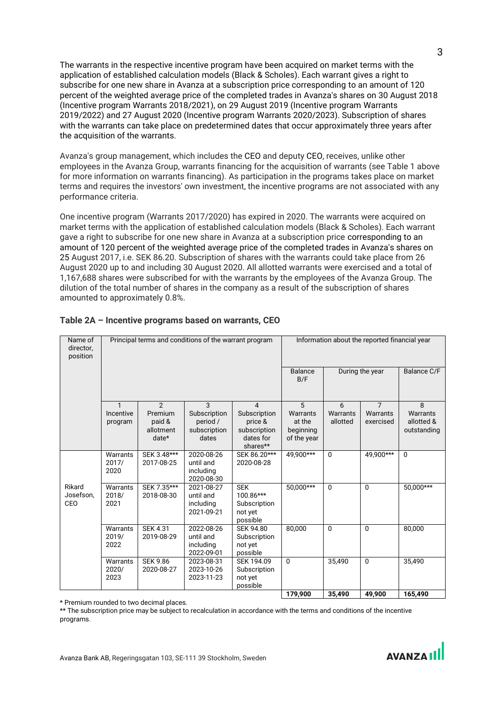The warrants in the respective incentive program have been acquired on market terms with the application of established calculation models (Black & Scholes). Each warrant gives a right to subscribe for one new share in Avanza at a subscription price corresponding to an amount of 120 percent of the weighted average price of the completed trades in Avanza's shares on 30 August 2018 (Incentive program Warrants 2018/2021), on 29 August 2019 (Incentive program Warrants 2019/2022) and 27 August 2020 (Incentive program Warrants 2020/2023). Subscription of shares with the warrants can take place on predetermined dates that occur approximately three years after the acquisition of the warrants.

Avanza's group management, which includes the CEO and deputy CEO, receives, unlike other employees in the Avanza Group, warrants financing for the acquisition of warrants (see Table 1 above for more information on warrants financing). As participation in the programs takes place on market terms and requires the investors' own investment, the incentive programs are not associated with any performance criteria.

One incentive program (Warrants 2017/2020) has expired in 2020. The warrants were acquired on market terms with the application of established calculation models (Black & Scholes). Each warrant gave a right to subscribe for one new share in Avanza at a subscription price corresponding to an amount of 120 percent of the weighted average price of the completed trades in Avanza's shares on 25 August 2017, i.e. SEK 86.20. Subscription of shares with the warrants could take place from 26 August 2020 up to and including 30 August 2020. All allotted warrants were exercised and a total of 1,167,688 shares were subscribed for with the warrants by the employees of the Avanza Group. The dilution of the total number of shares in the company as a result of the subscription of shares amounted to approximately 0.8%.

| Name of<br>director,<br>position |                                      |                                                             | Principal terms and conditions of the warrant program  | Information about the reported financial year                         |                                                     |                           |                                         |                                            |
|----------------------------------|--------------------------------------|-------------------------------------------------------------|--------------------------------------------------------|-----------------------------------------------------------------------|-----------------------------------------------------|---------------------------|-----------------------------------------|--------------------------------------------|
|                                  |                                      |                                                             |                                                        |                                                                       | <b>Balance</b><br>B/F                               | During the year           |                                         | Balance C/F                                |
|                                  | $\mathbf{1}$<br>Incentive<br>program | $\overline{2}$<br>Premium<br>paid &<br>allotment<br>$date*$ | 3<br>Subscription<br>period /<br>subscription<br>dates | 4<br>Subscription<br>price &<br>subscription<br>dates for<br>shares** | 5<br>Warrants<br>at the<br>beginning<br>of the year | 6<br>Warrants<br>allotted | $\overline{7}$<br>Warrants<br>exercised | 8<br>Warrants<br>allotted &<br>outstanding |
|                                  | Warrants<br>2017/<br>2020            | SEK 3.48***<br>2017-08-25                                   | 2020-08-26<br>until and<br>including<br>2020-08-30     | SEK 86.20***<br>2020-08-28                                            | 49,900***                                           | $\Omega$                  | 49.900***                               | $\mathbf{0}$                               |
| Rikard<br>Josefson,<br>CEO       | Warrants<br>2018/<br>2021            | SEK 7.35***<br>2018-08-30                                   | 2021-08-27<br>until and<br>including<br>2021-09-21     | <b>SEK</b><br>100.86***<br>Subscription<br>not yet<br>possible        | $50,000***$                                         | 0                         | $\Omega$                                | $50,000***$                                |
|                                  | Warrants<br>2019/<br>2022            | <b>SEK 4.31</b><br>2019-08-29                               | 2022-08-26<br>until and<br>including<br>2022-09-01     | <b>SEK 94.80</b><br>Subscription<br>not yet<br>possible               | 80,000                                              | $\Omega$                  | $\Omega$                                | 80,000                                     |
|                                  | Warrants<br>2020/<br>2023            | <b>SEK 9.86</b><br>2020-08-27                               | 2023-08-31<br>2023-10-26<br>2023-11-23                 | SEK 194.09<br>Subscription<br>not yet<br>possible                     | $\mathbf{0}$                                        | 35,490                    | $\Omega$                                | 35,490                                     |
|                                  |                                      |                                                             |                                                        |                                                                       | 179.900                                             | 35.490                    | 49.900                                  | 165.490                                    |

#### **Table 2A – Incentive programs based on warrants, CEO**

\* Premium rounded to two decimal places.

\*\* The subscription price may be subject to recalculation in accordance with the terms and conditions of the incentive programs.

3

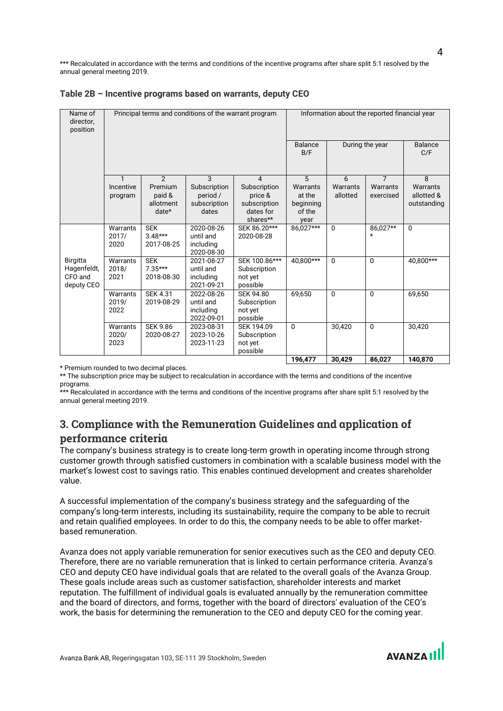\*\*\* Recalculated in accordance with the terms and conditions of the incentive programs after share split 5:1 resolved by the annual general meeting 2019.

| Name of<br>director,<br>position                        |                           |                                       | Principal terms and conditions of the warrant program | Information about the reported financial year           |                       |                      |                       |                        |
|---------------------------------------------------------|---------------------------|---------------------------------------|-------------------------------------------------------|---------------------------------------------------------|-----------------------|----------------------|-----------------------|------------------------|
|                                                         |                           |                                       |                                                       |                                                         | <b>Balance</b><br>B/F | During the year      |                       | <b>Balance</b><br>C/F  |
|                                                         | $\mathbf{1}$              | $\overline{2}$                        | 3                                                     | $\overline{4}$                                          | 5                     | 6                    | $\overline{7}$        | $\mathsf{R}$           |
|                                                         | Incentive                 | Premium<br>paid &                     | Subscription<br>period /                              | Subscription<br>price &                                 | Warrants<br>at the    | Warrants<br>allotted | Warrants<br>exercised | Warrants<br>allotted & |
|                                                         | program                   | allotment                             | subscription                                          | subscription                                            | beginning             |                      |                       | outstanding            |
|                                                         |                           | $date*$                               | dates                                                 | dates for                                               | of the                |                      |                       |                        |
|                                                         |                           |                                       |                                                       | shares**                                                | year                  |                      |                       |                        |
|                                                         | Warrants<br>2017/<br>2020 | <b>SEK</b><br>$3.48***$<br>2017-08-25 | 2020-08-26<br>until and<br>including<br>2020-08-30    | SEK 86.20***<br>2020-08-28                              | 86.027***             | $\Omega$             | 86,027**<br>$\star$   | $\Omega$               |
| <b>Birgitta</b><br>Hagenfeldt,<br>CFO and<br>deputy CEO | Warrants<br>2018/<br>2021 | <b>SEK</b><br>$7.35***$<br>2018-08-30 | 2021-08-27<br>until and<br>including<br>2021-09-21    | SEK 100.86***<br>Subscription<br>not yet<br>possible    | 40.800***             | $\Omega$             | $\Omega$              | 40.800***              |
|                                                         | Warrants<br>2019/<br>2022 | <b>SEK 4.31</b><br>2019-08-29         | 2022-08-26<br>until and<br>including<br>2022-09-01    | <b>SEK 94.80</b><br>Subscription<br>not yet<br>possible | 69.650                | $\Omega$             | $\Omega$              | 69.650                 |
|                                                         | Warrants<br>2020/<br>2023 | <b>SEK 9.86</b><br>2020-08-27         | 2023-08-31<br>2023-10-26<br>2023-11-23                | SEK 194.09<br>Subscription<br>not yet<br>possible       | $\Omega$              | 30.420               | $\Omega$              | 30.420                 |
|                                                         |                           |                                       |                                                       |                                                         | 196,477               | 30,429               | 86.027                | 140.870                |

\* Premium rounded to two decimal places.

\*\* The subscription price may be subject to recalculation in accordance with the terms and conditions of the incentive programs.

\*\*\* Recalculated in accordance with the terms and conditions of the incentive programs after share split 5:1 resolved by the annual general meeting 2019.

## **3. Compliance with the Remuneration Guidelines and application of performance criteria**

The company's business strategy is to create long-term growth in operating income through strong customer growth through satisfied customers in combination with a scalable business model with the market's lowest cost to savings ratio. This enables continued development and creates shareholder value.

A successful implementation of the company's business strategy and the safeguarding of the company's long-term interests, including its sustainability, require the company to be able to recruit and retain qualified employees. In order to do this, the company needs to be able to offer marketbased remuneration.

Avanza does not apply variable remuneration for senior executives such as the CEO and deputy CEO. Therefore, there are no variable remuneration that is linked to certain performance criteria. Avanza's CEO and deputy CEO have individual goals that are related to the overall goals of the Avanza Group. These goals include areas such as customer satisfaction, shareholder interests and market reputation. The fulfillment of individual goals is evaluated annually by the remuneration committee and the board of directors, and forms, together with the board of directors' evaluation of the CEO's work, the basis for determining the remuneration to the CEO and deputy CEO for the coming year.